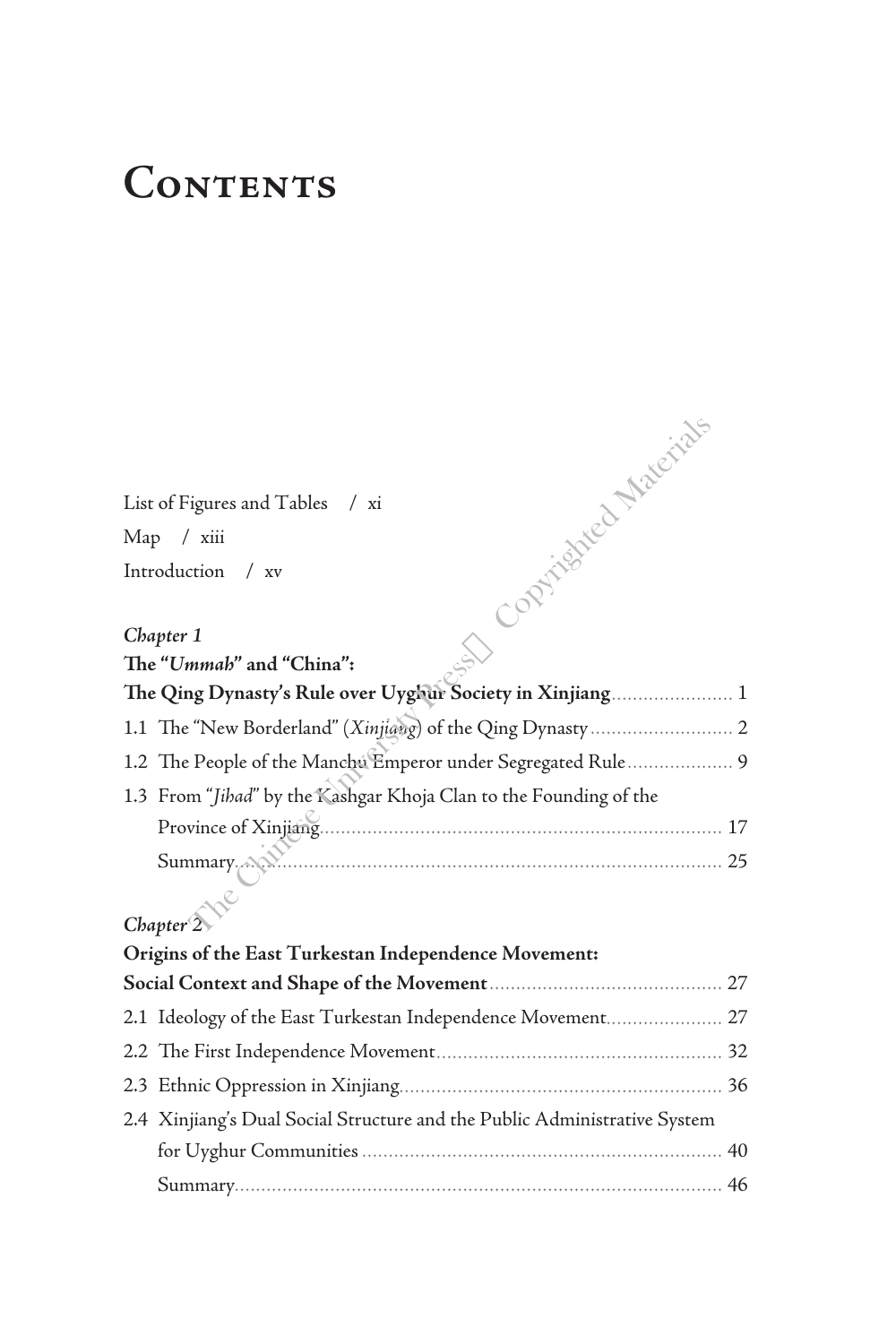# **Contents**

#### *Chapter 1*

| - Optrighted Materials                                            |
|-------------------------------------------------------------------|
| List of Figures and Tables / xi                                   |
| Map / xiii                                                        |
| Introduction<br>$/$ xv                                            |
| Chapter 1                                                         |
| The "Ummah" and "China":                                          |
| The Qing Dynasty's Rule over Uyghur Society in Xinjiang 1         |
|                                                                   |
| 1.2 The People of the Manchu Emperor under Segregated Rule 9      |
| 1.3 From "Jihad" by the Kashgar Khoja Clan to the Founding of the |
|                                                                   |
| Summary A<br><u>, 25</u>                                          |

# *Chapter 2*

| Origins of the East Turkestan Independence Movement: |                                                                           |  |
|------------------------------------------------------|---------------------------------------------------------------------------|--|
|                                                      |                                                                           |  |
|                                                      | 2.1 Ideology of the East Turkestan Independence Movement 27               |  |
|                                                      |                                                                           |  |
|                                                      |                                                                           |  |
|                                                      | 2.4 Xinjiang's Dual Social Structure and the Public Administrative System |  |
|                                                      |                                                                           |  |
|                                                      |                                                                           |  |
|                                                      |                                                                           |  |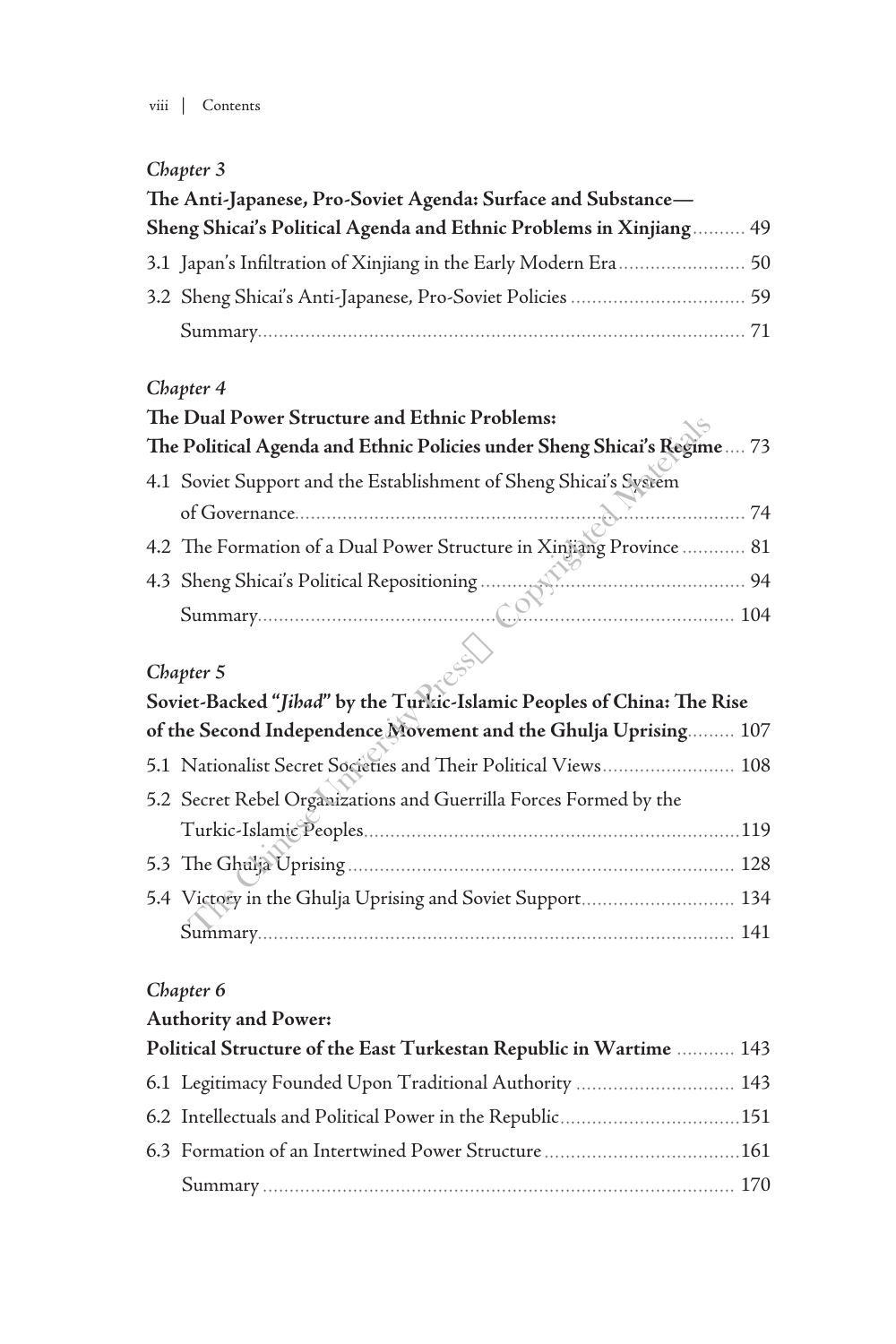# *Chapter 3*

| The Anti-Japanese, Pro-Soviet Agenda: Surface and Substance- |                                                                    |  |
|--------------------------------------------------------------|--------------------------------------------------------------------|--|
|                                                              | Sheng Shicai's Political Agenda and Ethnic Problems in Xinjiang 49 |  |
|                                                              |                                                                    |  |
|                                                              |                                                                    |  |
|                                                              |                                                                    |  |

### *Chapter 4*

| The Dual Power Structure and Ethnic Problems:                           |  |
|-------------------------------------------------------------------------|--|
| The Political Agenda and Ethnic Policies under Sheng Shicai's Regime 73 |  |
| 4.1 Soviet Support and the Establishment of Sheng Shicai's System       |  |
|                                                                         |  |
| 4.2 The Formation of a Dual Power Structure in Xinjiang Province  81    |  |
|                                                                         |  |
|                                                                         |  |

## *Chapter 5*

|                                                                        | The Dual Power Structure and Ethinc Problems:                           |  |
|------------------------------------------------------------------------|-------------------------------------------------------------------------|--|
|                                                                        | The Political Agenda and Ethnic Policies under Sheng Shicai's Regime 73 |  |
|                                                                        | 4.1 Soviet Support and the Establishment of Sheng Shicai's System       |  |
|                                                                        |                                                                         |  |
|                                                                        | 4.2 The Formation of a Dual Power Structure in Xinjiang Province  81    |  |
|                                                                        |                                                                         |  |
|                                                                        |                                                                         |  |
|                                                                        |                                                                         |  |
|                                                                        | Chapter 5                                                               |  |
| Soviet-Backed "Jihad" by the Turkic-Islamic Peoples of China: The Rise |                                                                         |  |
|                                                                        | of the Second Independence Movement and the Ghulja Uprising 107         |  |
|                                                                        | 5.1 Nationalist Secret Societies and Their Political Views 108          |  |
|                                                                        | 5.2 Secret Rebel Organizations and Guerrilla Forces Formed by the       |  |
|                                                                        |                                                                         |  |
|                                                                        |                                                                         |  |
|                                                                        | 5.4 Victory in the Ghulja Uprising and Soviet Support 134               |  |
|                                                                        |                                                                         |  |

### *Chapter 6*

### **Authority and Power:**

| Political Structure of the East Turkestan Republic in Wartime  143 |                                                          |  |
|--------------------------------------------------------------------|----------------------------------------------------------|--|
|                                                                    | 6.1 Legitimacy Founded Upon Traditional Authority  143   |  |
|                                                                    | 6.2 Intellectuals and Political Power in the Republic151 |  |
|                                                                    |                                                          |  |
|                                                                    |                                                          |  |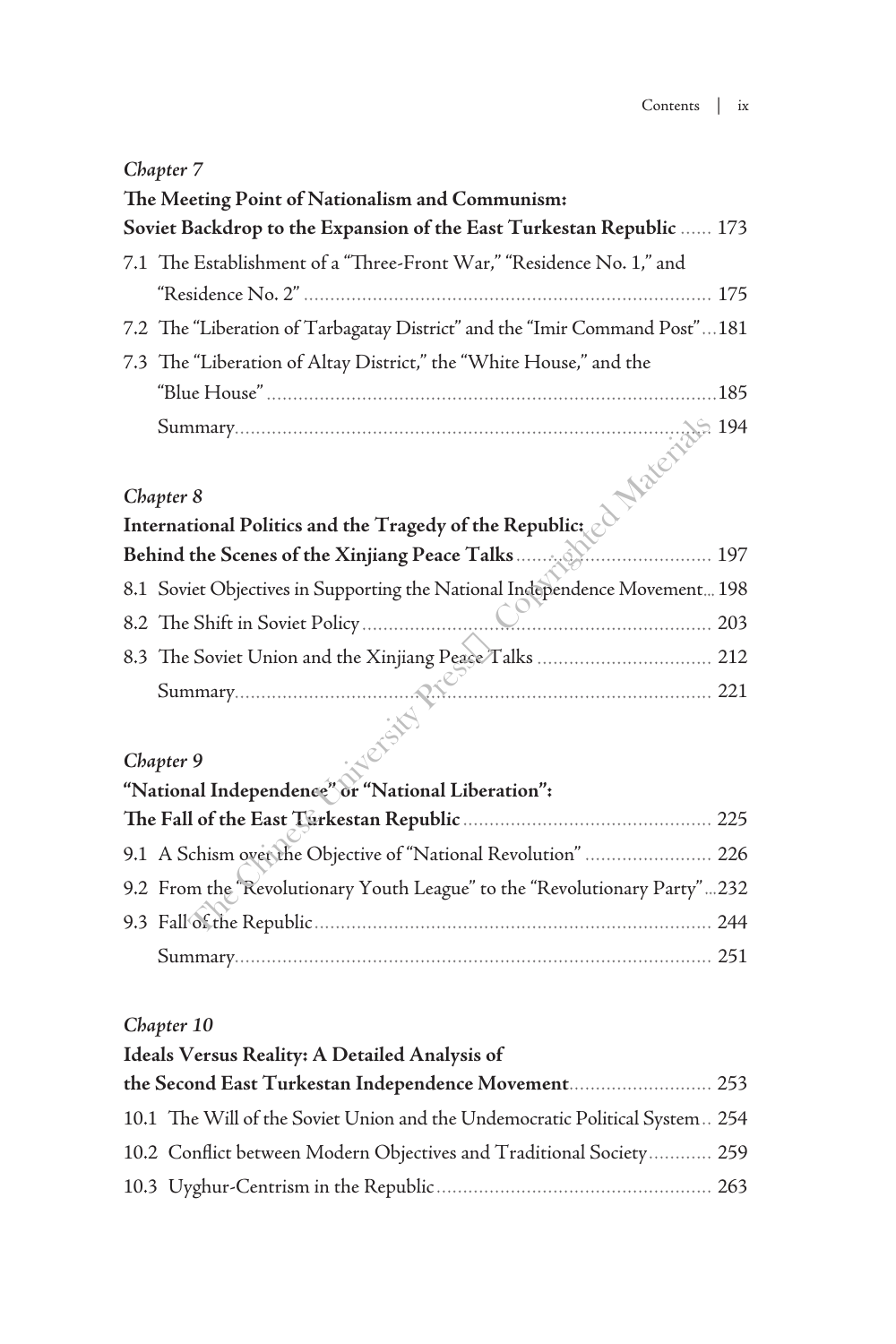### *Chapter 7*

| The Meeting Point of Nationalism and Communism:                                                                                                         |  |  |
|---------------------------------------------------------------------------------------------------------------------------------------------------------|--|--|
| Soviet Backdrop to the Expansion of the East Turkestan Republic  173                                                                                    |  |  |
| 7.1 The Establishment of a "Three-Front War," "Residence No. 1," and                                                                                    |  |  |
|                                                                                                                                                         |  |  |
| 7.2 The "Liberation of Tarbagatay District" and the "Imir Command Post"181                                                                              |  |  |
| 7.3 The "Liberation of Altay District," the "White House," and the                                                                                      |  |  |
| .185                                                                                                                                                    |  |  |
| 194<br>International Politics and the Tragedy of the Republic:<br>Behind the Scenes of the Xinjiang Peace Talks<br>8.1 Soviet Objectives in Summary 2.2 |  |  |
|                                                                                                                                                         |  |  |
|                                                                                                                                                         |  |  |
|                                                                                                                                                         |  |  |
|                                                                                                                                                         |  |  |
|                                                                                                                                                         |  |  |
|                                                                                                                                                         |  |  |
|                                                                                                                                                         |  |  |
| Chapter 9                                                                                                                                               |  |  |
| "National Independence" or "National Liberation":                                                                                                       |  |  |
|                                                                                                                                                         |  |  |
| 9.1 A Schism over the Objective of "National Revolution"  226                                                                                           |  |  |
| 9.2 From the Revolutionary Youth League" to the "Revolutionary Party"232                                                                                |  |  |
|                                                                                                                                                         |  |  |

#### *Chapter 9*

| "National Independence" or "National Liberation":                        |  |  |
|--------------------------------------------------------------------------|--|--|
|                                                                          |  |  |
| 9.1 A Schism over the Objective of "National Revolution"  226            |  |  |
| 9.2 From the Revolutionary Youth League" to the "Revolutionary Party"232 |  |  |
|                                                                          |  |  |
|                                                                          |  |  |

#### *Chapter 10*

### **Ideals Versus Reality: A Detailed Analysis of**

| the Second East Turkestan Independence Movement 253                         |  |
|-----------------------------------------------------------------------------|--|
| 10.1 The Will of the Soviet Union and the Undemocratic Political System 254 |  |
| 10.2 Conflict between Modern Objectives and Traditional Society 259         |  |
|                                                                             |  |